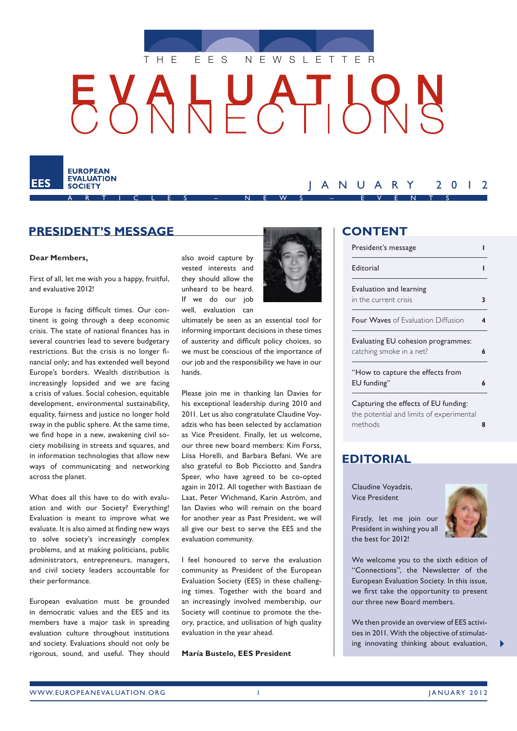

# HUATH



# **President's message**

#### **Dear Members,**

First of all, let me wish you a happy, fruitful, and evaluative 2012!

Europe is facing difficult times. Our continent is going through a deep economic crisis. The state of national finances has in several countries lead to severe budgetary restrictions. But the crisis is no longer financial only; and has extended well beyond Europe's borders. Wealth distribution is increasingly lopsided and we are facing a crisis of values. Social cohesion, equitable development, environmental sustainability, equality, fairness and justice no longer hold sway in the public sphere. At the same time, we find hope in a new, awakening civil society mobilising in streets and squares, and in information technologies that allow new ways of communicating and networking across the planet.

What does all this have to do with evaluation and with our Society? Everything! Evaluation is meant to improve what we evaluate. It is also aimed at finding new ways to solve society's increasingly complex problems, and at making politicians, public administrators, entrepreneurs, managers, and civil society leaders accountable for their performance.

European evaluation must be grounded in democratic values and the EES and its members have a major task in spreading evaluation culture throughout institutions and society. Evaluations should not only be rigorous, sound, and useful. They should

also avoid capture by vested interests and they should allow the unheard to be heard. If we do our job well, evaluation can

ultimately be seen as an essential tool for informing important decisions in these times of austerity and difficult policy choices, so we must be conscious of the importance of our job and the responsibility we have in our hands.

Please join me in thanking Ian Davies for his exceptional leadership during 2010 and 2011. Let us also congratulate Claudine Voyadzis who has been selected by acclamation as Vice President. Finally, let us welcome, our three new board members: Kim Forss, Liisa Horelli, and Barbara Befani. We are also grateful to Bob Picciotto and Sandra Speer, who have agreed to be co-opted again in 2012. All together with Bastiaan de Laat, Peter Wichmand, Karin Aström, and Ian Davies who will remain on the board for another year as Past President, we will all give our best to serve the EES and the evaluation community.

I feel honoured to serve the evaluation community as President of the European Evaluation Society (EES) in these challenging times. Together with the board and an increasingly involved membership, our Society will continue to promote the theory, practice, and utilisation of high quality evaluation in the year ahead.

**María Bustelo, EES President**



## **Content**

JANUARY 2012

| President's message                                            |   |
|----------------------------------------------------------------|---|
| Editorial                                                      |   |
| Evaluation and learning<br>in the current crisis               | 3 |
| <b>Four Waves</b> of Evaluation Diffusion                      | 4 |
| Evaluating EU cohesion programmes:<br>catching smoke in a net? | 6 |
| "How to capture the effects from<br>EU funding"                | 6 |
| Capturing the effects of EU funding:                           |   |

[the potential and limits of experimental](#page-7-0)  [methods](#page-7-0) **8**

### **Editorial**

Claudine Voyadzis, Vice President

Firstly, let me join our President in wishing you all the best for 2012!



We welcome you to the sixth edition of "Connections", the Newsletter of the European Evaluation Society. In this issue, we first take the opportunity to present our three new Board members.

We then provide an overview of EES activities in 2011. With the objective of stimulating innovating thinking about evaluation,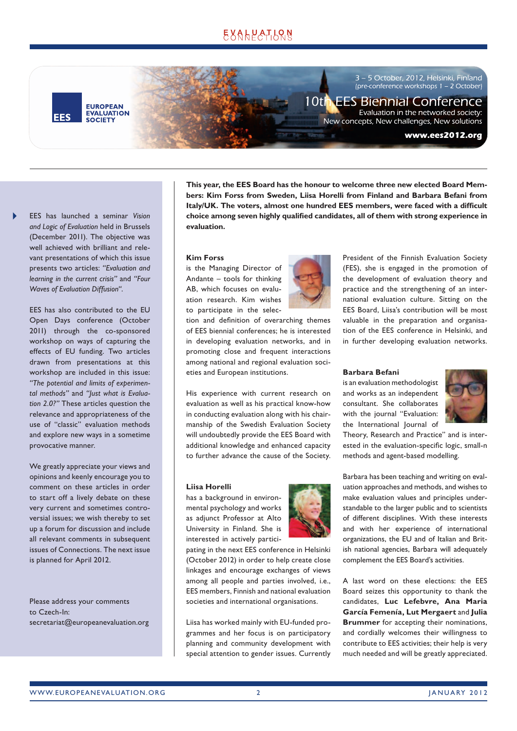# EXALPATLRN

**EUROPEAN EVALUATION**<br>SOCIETY **FFS** 

3 – 5 October, 2012, Helsinki, Finland  $\frac{1}{2}$  or  $\frac{1}{2}$  or  $\frac{1}{2}$  or  $\frac{1}{2}$ ,  $\frac{1}{2}$  or  $\frac{1}{2}$  or  $\frac{1}{2}$  or  $\frac{1}{2}$  or  $\frac{1}{2}$  or  $\frac{1}{2}$  or  $\frac{1}{2}$  or  $\frac{1}{2}$  or  $\frac{1}{2}$  or  $\frac{1}{2}$  or  $\frac{1}{2}$  or  $\frac{1}{2}$  or  $\frac{1}{2}$  or  $\$ 

# 10th EES Biennial Conference

Evaluation in the networked society: New concepts, New challenges, New solutions

#### www.ees2012.org

EES has launched a seminar *Vision and Logic of Evaluation* held in Brussels (December 2011). The objective was well achieved with brilliant and relevant presentations of which this issue presents two articles: *"Evaluation and learning in the current crisis"* and *"Four Waves of Evaluation Diffusion"*.

> EES has also contributed to the EU Open Days conference (October 2011) through the co-sponsored workshop on ways of capturing the effects of EU funding. Two articles drawn from presentations at this workshop are included in this issue: *"The potential and limits of experimental methods"* and *"Just what is Evaluation 2.0?"* These articles question the relevance and appropriateness of the use of "classic" evaluation methods and explore new ways in a sometime provocative manner.

> We greatly appreciate your views and opinions and keenly encourage you to comment on these articles in order to start off a lively debate on these very current and sometimes controversial issues; we wish thereby to set up a forum for discussion and include all relevant comments in subsequent issues of Connections. The next issue is planned for April 2012.

Please address your comments to Czech-In: secretariat@europeanevaluation.org **This year, the EES Board has the honour to welcome three new elected Board Members: Kim Forss from Sweden, Liisa Horelli from Finland and Barbara Befani from Italy/UK. The voters, almost one hundred EES members, were faced with a difficult choice among seven highly qualified candidates, all of them with strong experience in evaluation.** 

#### **Kim Forss**

is the Managing Director of Andante – tools for thinking AB, which focuses on evaluation research. Kim wishes to participate in the selec-



tion and definition of overarching themes of EES biennial conferences; he is interested in developing evaluation networks, and in promoting close and frequent interactions among national and regional evaluation societies and European institutions.

His experience with current research on evaluation as well as his practical know-how in conducting evaluation along with his chairmanship of the Swedish Evaluation Society will undoubtedly provide the EES Board with additional knowledge and enhanced capacity to further advance the cause of the Society.

#### **Liisa Horelli**

has a background in environmental psychology and works as adjunct Professor at Alto University in Finland. She is interested in actively partici-

pating in the next EES conference in Helsinki (October 2012) in order to help create close linkages and encourage exchanges of views among all people and parties involved, i.e., EES members, Finnish and national evaluation societies and international organisations.

Liisa has worked mainly with EU-funded programmes and her focus is on participatory planning and community development with special attention to gender issues. Currently



President of the Finnish Evaluation Society (FES), she is engaged in the promotion of the development of evaluation theory and practice and the strengthening of an international evaluation culture. Sitting on the EES Board, Liisa's contribution will be most valuable in the preparation and organisation of the EES conference in Helsinki, and in further developing evaluation networks.

#### **Barbara Befani**

is an evaluation methodologist and works as an independent consultant. She collaborates with the journal "Evaluation: the International Journal of



Theory, Research and Practice" and is interested in the evaluation-specific logic, small-n methods and agent-based modelling.

Barbara has been teaching and writing on evaluation approaches and methods, and wishes to make evaluation values and principles understandable to the larger public and to scientists of different disciplines. With these interests and with her experience of international organizations, the EU and of Italian and British national agencies, Barbara will adequately complement the EES Board's activities.

A last word on these elections: the EES Board seizes this opportunity to thank the candidates, **Luc Lefebvre, Ana Maria García Femenía, Lut Mergaert** and **Julia Brummer** for accepting their nominations, and cordially welcomes their willingness to contribute to EES activities; their help is very much needed and will be greatly appreciated.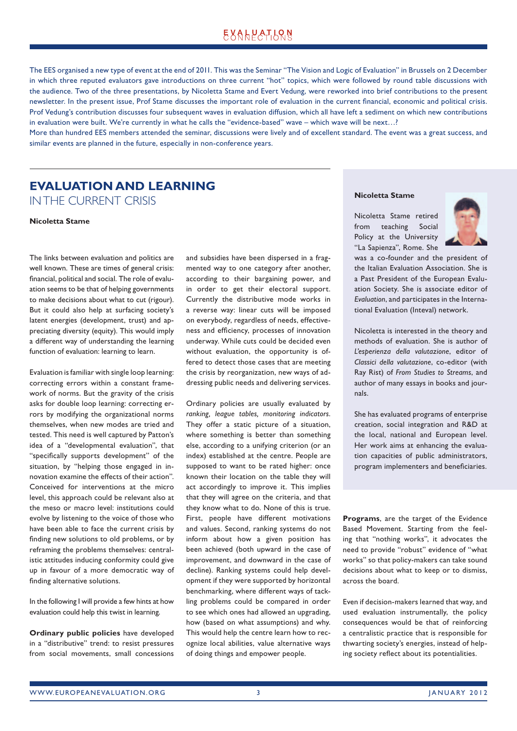# **EXALPATION**

<span id="page-2-0"></span>The EES organised a new type of event at the end of 2011. This was the Seminar "The Vision and Logic of Evaluation" in Brussels on 2 December in which three reputed evaluators gave introductions on three current "hot" topics, which were followed by round table discussions with the audience. Two of the three presentations, by Nicoletta Stame and Evert Vedung, were reworked into brief contributions to the present newsletter. In the present issue, Prof Stame discusses the important role of evaluation in the current financial, economic and political crisis. Prof Vedung's contribution discusses four subsequent waves in evaluation diffusion, which all have left a sediment on which new contributions in evaluation were built. We're currently in what he calls the "evidence-based" wave – which wave will be next…?

More than hundred EES members attended the seminar, discussions were lively and of excellent standard. The event was a great success, and similar events are planned in the future, especially in non-conference years.

# **Evaluation and learning**  in the current crisis

**Nicoletta Stame**

The links between evaluation and politics are well known. These are times of general crisis: financial, political and social. The role of evaluation seems to be that of helping governments to make decisions about what to cut (rigour). But it could also help at surfacing society's latent energies (development, trust) and appreciating diversity (equity). This would imply a different way of understanding the learning function of evaluation: learning to learn.

Evaluation is familiar with single loop learning: correcting errors within a constant framework of norms. But the gravity of the crisis asks for double loop learning: correcting errors by modifying the organizational norms themselves, when new modes are tried and tested. This need is well captured by Patton's idea of a "developmental evaluation", that "specifically supports development" of the situation, by "helping those engaged in innovation examine the effects of their action". Conceived for interventions at the micro level, this approach could be relevant also at the meso or macro level: institutions could evolve by listening to the voice of those who have been able to face the current crisis by finding new solutions to old problems, or by reframing the problems themselves: centralistic attitudes inducing conformity could give up in favour of a more democratic way of finding alternative solutions.

In the following I will provide a few hints at how evaluation could help this twist in learning.

**Ordinary public policies** have developed in a "distributive" trend: to resist pressures from social movements, small concessions and subsidies have been dispersed in a fragmented way to one category after another, according to their bargaining power, and in order to get their electoral support. Currently the distributive mode works in a reverse way: linear cuts will be imposed on everybody, regardless of needs, effectiveness and efficiency, processes of innovation underway. While cuts could be decided even without evaluation, the opportunity is offered to detect those cases that are meeting the crisis by reorganization, new ways of addressing public needs and delivering services.

Ordinary policies are usually evaluated by *ranking, league tables, monitoring indicators*. They offer a static picture of a situation, where something is better than something else, according to a unifying criterion (or an index) established at the centre. People are supposed to want to be rated higher: once known their location on the table they will act accordingly to improve it. This implies that they will agree on the criteria, and that they know what to do. None of this is true. First, people have different motivations and values. Second, ranking systems do not inform about how a given position has been achieved (both upward in the case of improvement, and downward in the case of decline). Ranking systems could help development if they were supported by horizontal benchmarking, where different ways of tackling problems could be compared in order to see which ones had allowed an upgrading, how (based on what assumptions) and why. This would help the centre learn how to recognize local abilities, value alternative ways of doing things and empower people.

#### **Nicoletta Stame**

Nicoletta Stame retired from teaching Social Policy at the University "La Sapienza", Rome. She



was a co-founder and the president of the Italian Evaluation Association. She is a Past President of the European Evaluation Society. She is associate editor of *Evaluation*, and participates in the International Evaluation (Inteval) network.

Nicoletta is interested in the theory and methods of evaluation. She is author of *L'esperienza della valutazione*, editor of *Classici della valutazione*, co-editor (with Ray Rist) of *From Studies to Streams*, and author of many essays in books and journals.

She has evaluated programs of enterprise creation, social integration and R&D at the local, national and European level. Her work aims at enhancing the evaluation capacities of public administrators, program implementers and beneficiaries.

**Programs**, are the target of the Evidence Based Movement. Starting from the feeling that "nothing works", it advocates the need to provide "robust" evidence of "what works" so that policy-makers can take sound decisions about what to keep or to dismiss, across the board.

Even if decision-makers learned that way, and used evaluation instrumentally, the policy consequences would be that of reinforcing a centralistic practice that is responsible for thwarting society's energies, instead of helping society reflect about its potentialities.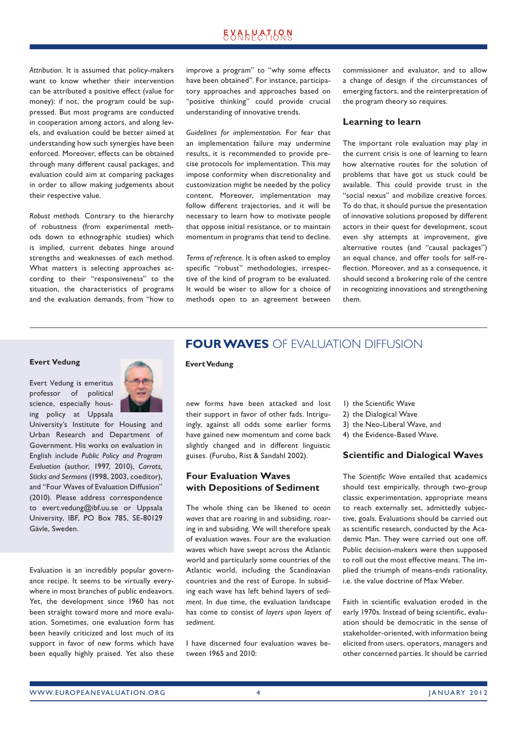## **EXALPATLQN**

<span id="page-3-0"></span>*Attribution.* It is assumed that policy-makers want to know whether their intervention can be attributed a positive effect (value for money): if not, the program could be suppressed. But most programs are conducted in cooperation among actors, and along levels, and evaluation could be better aimed at understanding how such synergies have been enforced. Moreover, effects can be obtained through many different causal packages, and evaluation could aim at comparing packages in order to allow making judgements about their respective value.

*Robust methods.* Contrary to the hierarchy of robustness (from experimental methods down to ethnographic studies) which is implied, current debates hinge around strengths and weaknesses of each method. What matters is selecting approaches according to their "responsiveness" to the situation, the characteristics of programs and the evaluation demands, from "how to improve a program" to "why some effects have been obtained". For instance, participatory approaches and approaches based on "positive thinking" could provide crucial understanding of innovative trends.

*Guidelines for implementation.* For fear that an implementation failure may undermine results, it is recommended to provide precise protocols for implementation. This may impose conformity when discretionality and customization might be needed by the policy content. Moreover, implementation may follow different trajectories, and it will be necessary to learn how to motivate people that oppose initial resistance, or to maintain momentum in programs that tend to decline.

*Terms of reference.* It is often asked to employ specific "robust" methodologies, irrespective of the kind of program to be evaluated. It would be wiser to allow for a choice of methods open to an agreement between commissioner and evaluator, and to allow a change of design if the circumstances of emerging factors, and the reinterpretation of the program theory so requires.

#### **Learning to learn**

The important role evaluation may play in the current crisis is one of learning to learn how alternative routes for the solution of problems that have got us stuck could be available. This could provide trust in the "social nexus" and mobilize creative forces. To do that, it should pursue the presentation of innovative solutions proposed by different actors in their quest for development, scout even shy attempts at improvement, give alternative routes (and "causal packages") an equal chance, and offer tools for self-reflection. Moreover, and as a consequence, it should second a brokering role of the centre in recognizing innovations and strengthening them.

# **Evert Vedung**

Evert Vedung is emeritus professor of political science, especially housing policy at Uppsala



University's Institute for Housing and Urban Research and Department of Government. His works on evaluation in English include *Public Policy and Program Evaluation* (author, 1997, 2010), *Carrots, Sticks and Sermons* (1998, 2003, coeditor), and "Four Waves of Evaluation Diffusion" (2010). Please address correspondence to evert.vedung@ibf.uu.se or Uppsala University, IBF, PO Box 785, SE-80129 Gävle, Sweden.

Evaluation is an incredibly popular governance recipe. It seems to be virtually everywhere in most branches of public endeavors. Yet, the development since 1960 has not been straight toward more and more evaluation. Sometimes, one evaluation form has been heavily criticized and lost much of its support in favor of new forms which have been equally highly praised. Yet also these

## **Four Waves** of Evaluation Diffusion

#### **Evert Vedung**

new forms have been attacked and lost their support in favor of other fads. Intriguingly, against all odds some earlier forms have gained new momentum and come back slightly changed and in different linguistic guises. (Furubo, Rist & Sandahl 2002).

#### **Four Evaluation Waves with Depositions of Sediment**

The whole thing can be likened to *ocean waves* that are roaring in and subsiding, roaring in and subsiding. We will therefore speak of evaluation waves. Four are the evaluation waves which have swept across the Atlantic world and particularly some countries of the Atlantic world, including the Scandinavian countries and the rest of Europe. In subsiding each wave has left behind layers of *sediment*. In due time, the evaluation landscape has come to consist of *layers upon layers of sediment*.

I have discerned four evaluation waves between 1965 and 2010:

- 1) the Scientific Wave
- 2) the Dialogical Wave
- 3) the Neo-Liberal Wave, and
- 4) the Evidence-Based Wave.

#### **Scientific and Dialogical Waves**

The *Scientific Wave* entailed that academics should test empirically, through two-group classic experimentation, appropriate means to reach externally set, admittedly subjective, goals. Evaluations should be carried out as scientific research, conducted by the Academic Man. They were carried out one off. Public decision-makers were then supposed to roll out the most effective means. The implied the triumph of means-ends rationality, i.e. the value doctrine of Max Weber.

Faith in scientific evaluation eroded in the early 1970s. Instead of being scientific, evaluation should be democratic in the sense of stakeholder-oriented, with information being elicited from users, operators, managers and other concerned parties. It should be carried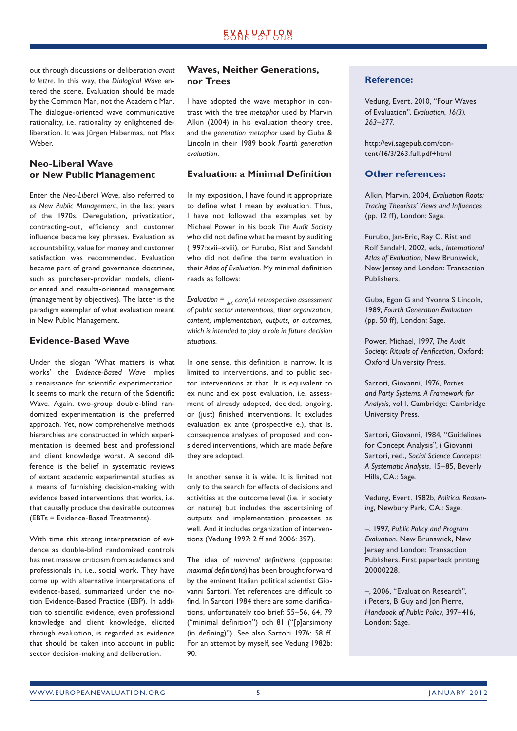out through discussions or deliberation *avant la lettre*. In this way, the *Dialogical Wave* entered the scene. Evaluation should be made by the Common Man, not the Academic Man. The dialogue-oriented wave communicative rationality, i.e. rationality by enlightened deliberation. It was Jürgen Habermas, not Max Weber.

#### **Neo-Liberal Wave or New Public Management**

Enter the *Neo-Liberal Wave*, also referred to as *New Public Management*, in the last years of the 1970s. Deregulation, privatization, contracting-out, efficiency and customer influence became key phrases. Evaluation as accountability, value for money and customer satisfaction was recommended. Evaluation became part of grand governance doctrines, such as purchaser-provider models, clientoriented and results-oriented management (management by objectives). The latter is the paradigm exemplar of what evaluation meant in New Public Management.

#### **Evidence-Based Wave**

Under the slogan 'What matters is what works' the *Evidence-Based Wave* implies a renaissance for scientific experimentation. It seems to mark the return of the Scientific Wave. Again, two-group double-blind randomized experimentation is the preferred approach. Yet, now comprehensive methods hierarchies are constructed in which experimentation is deemed best and professional and client knowledge worst. A second difference is the belief in systematic reviews of extant academic experimental studies as a means of furnishing decision-making with evidence based interventions that works, i.e. that causally produce the desirable outcomes (EBTs = Evidence-Based Treatments).

With time this strong interpretation of evidence as double-blind randomized controls has met massive criticism from academics and professionals in, i.e., social work. They have come up with alternative interpretations of evidence-based, summarized under the notion Evidence-Based Practice (EBP). In addition to scientific evidence, even professional knowledge and client knowledge, elicited through evaluation, is regarded as evidence that should be taken into account in public sector decision-making and deliberation.

#### **Waves, Neither Generations, nor Trees**

I have adopted the wave metaphor in contrast with the *tree metaphor* used by Marvin Alkin (2004) in his evaluation theory tree, and the *generation metaphor* used by Guba & Lincoln in their 1989 book *Fourth generation evaluation*.

#### **Evaluation: a Minimal Definition**

In my exposition, I have found it appropriate to define what I mean by evaluation. Thus, I have not followed the examples set by Michael Power in his book *The Audit Society* who did not define what he meant by auditing (1997:xvii–xviii), or Furubo, Rist and Sandahl who did not define the term evaluation in their *Atlas of Evaluation*. My minimal definition reads as follows:

*Evaluation = def. careful retrospective assessment of public sector interventions, their organization, content, implementation, outputs, or outcomes, which is intended to play a role in future decision situations.* 

In one sense, this definition is narrow. It is limited to interventions, and to public sector interventions at that. It is equivalent to ex nunc and ex post evaluation, i.e. assessment of already adopted, decided, ongoing, or (just) finished interventions. It excludes evaluation ex ante (prospective e.), that is, consequence analyses of proposed and considered interventions, which are made *before* they are adopted.

In another sense it is wide. It is limited not only to the search for effects of decisions and activities at the outcome level (i.e. in society or nature) but includes the ascertaining of outputs and implementation processes as well. And it includes organization of interventions (Vedung 1997: 2 ff and 2006: 397).

The idea of *mimimal definitions* (opposite: *maximal definitions*) has been brought forward by the eminent Italian political scientist Giovanni Sartori. Yet references are difficult to find. In Sartori 1984 there are some clarifications, unfortunately too brief: 55–56, 64, 79 ("minimal definition") och 81 ("[p]arsimony (in defining)"). See also Sartori 1976: 58 ff. For an attempt by myself, see Vedung 1982b:  $9<sub>0</sub>$ 

#### **Reference:**

Vedung, Evert, 2010, "Four Waves of Evaluation", *Evaluation, 16(3), 263–277*.

http://evi.sagepub.com/content/16/3/263.full.pdf+html

#### **Other references:**

Alkin, Marvin, 2004, *Evaluation Roots: Tracing Theorists' Views and Influences* (pp. 12 ff), London: Sage.

Furubo, Jan-Eric, Ray C. Rist and Rolf Sandahl, 2002, eds., *International Atlas of Evaluation*, New Brunswick, New Jersey and London: Transaction Publishers.

Guba, Egon G and Yvonna S Lincoln, 1989, *Fourth Generation Evaluation* (pp. 50 ff), London: Sage.

Power, Michael, 1997, *The Audit Society: Rituals of Verification*, Oxford: Oxford University Press.

Sartori, Giovanni, 1976, *Parties and Party Systems: A Framework for Analysis*, vol I, Cambridge: Cambridge University Press.

Sartori, Giovanni, 1984, "Guidelines for Concept Analysis", i Giovanni Sartori, red., *Social Science Concepts: A Systematic Analysis*, 15–85, Beverly Hills, CA.: Sage.

Vedung, Evert, 1982b, *Political Reasoning*, Newbury Park, CA.: Sage.

–, 1997, *Public Policy and Program Evaluation*, New Brunswick, New Jersey and London: Transaction Publishers. First paperback printing 20000228.

–, 2006, "Evaluation Research", i Peters, B Guy and Jon Pierre, *Handbook of Public Policy*, 397–416, London: Sage.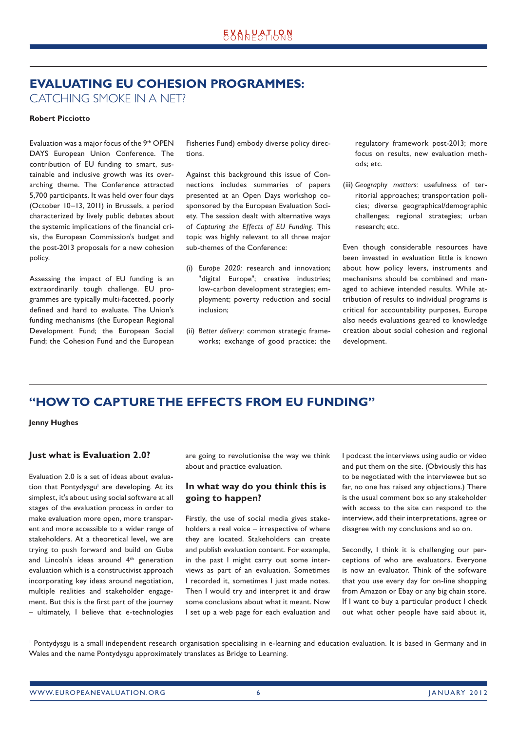## <span id="page-5-0"></span>**Evaluating EU cohesion programmes:**  catching smoke in a net?

#### **Robert Picciotto**

Evaluation was a major focus of the 9th OPEN DAYS European Union Conference. The contribution of EU funding to smart, sustainable and inclusive growth was its overarching theme. The Conference attracted 5,700 participants. It was held over four days (October 10–13, 2011) in Brussels, a period characterized by lively public debates about the systemic implications of the financial crisis, the European Commission's budget and the post-2013 proposals for a new cohesion policy.

Assessing the impact of EU funding is an extraordinarily tough challenge. EU programmes are typically multi-facetted, poorly defined and hard to evaluate. The Union's funding mechanisms (the European Regional Development Fund; the European Social Fund; the Cohesion Fund and the European Fisheries Fund) embody diverse policy directions.

Against this background this issue of Connections includes summaries of papers presented at an Open Days workshop cosponsored by the European Evaluation Society. The session dealt with alternative ways of *Capturing the Effects of EU Funding*. This topic was highly relevant to all three major sub-themes of the Conference:

- (i) *Europe 2020:* research and innovation; "digital Europe"; creative industries; low-carbon development strategies; employment; poverty reduction and social inclusion;
- (ii) *Better delivery:* common strategic frameworks; exchange of good practice; the

regulatory framework post-2013; more focus on results, new evaluation methods; etc.

(iii) *Geography matters:* usefulness of territorial approaches; transportation policies; diverse geographical/demographic challenges; regional strategies; urban research; etc.

Even though considerable resources have been invested in evaluation little is known about how policy levers, instruments and mechanisms should be combined and managed to achieve intended results. While attribution of results to individual programs is critical for accountability purposes, Europe also needs evaluations geared to knowledge creation about social cohesion and regional development.

## **"How to capture the effects from EU funding"**

**Jenny Hughes**

#### **Just what is Evaluation 2.0?**

Evaluation 2.0 is a set of ideas about evaluation that Pontydysgu<sup>1</sup> are developing. At its simplest, it's about using social software at all stages of the evaluation process in order to make evaluation more open, more transparent and more accessible to a wider range of stakeholders. At a theoretical level, we are trying to push forward and build on Guba and Lincoln's ideas around 4<sup>th</sup> generation evaluation which is a constructivist approach incorporating key ideas around negotiation, multiple realities and stakeholder engagement. But this is the first part of the journey – ultimately, I believe that e-technologies

are going to revolutionise the way we think about and practice evaluation.

#### **In what way do you think this is going to happen?**

Firstly, the use of social media gives stakeholders a real voice – irrespective of where they are located. Stakeholders can create and publish evaluation content. For example, in the past I might carry out some interviews as part of an evaluation. Sometimes I recorded it, sometimes I just made notes. Then I would try and interpret it and draw some conclusions about what it meant. Now I set up a web page for each evaluation and

I podcast the interviews using audio or video and put them on the site. (Obviously this has to be negotiated with the interviewee but so far, no one has raised any objections.) There is the usual comment box so any stakeholder with access to the site can respond to the interview, add their interpretations, agree or disagree with my conclusions and so on.

Secondly, I think it is challenging our perceptions of who are evaluators. Everyone is now an evaluator. Think of the software that you use every day for on-line shopping from Amazon or Ebay or any big chain store. If I want to buy a particular product I check out what other people have said about it,

Pontydysgu is a small independent research organisation specialising in e-learning and education evaluation. It is based in Germany and in Wales and the name Pontydysgu approximately translates as Bridge to Learning.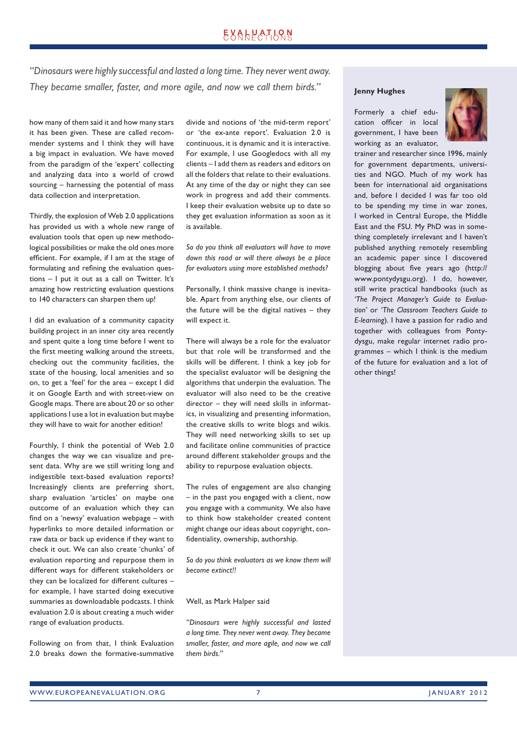# EXALPATLRN

*"Dinosaurs were highly successful and lasted a long time. They never went away. They became smaller, faster, and more agile, and now we call them birds."*

how many of them said it and how many stars it has been given. These are called recommender systems and I think they will have a big impact in evaluation. We have moved from the paradigm of the 'expert' collecting and analyzing data into a world of crowd sourcing – harnessing the potential of mass data collection and interpretation.

Thirdly, the explosion of Web 2.0 applications has provided us with a whole new range of evaluation tools that open up new methodological possibilities or make the old ones more efficient. For example, if I am at the stage of formulating and refining the evaluation questions – I put it out as a call on Twitter. It's amazing how restricting evaluation questions to 140 characters can sharpen them up!

I did an evaluation of a community capacity building project in an inner city area recently and spent quite a long time before I went to the first meeting walking around the streets, checking out the community facilities, the state of the housing, local amenities and so on, to get a 'feel' for the area – except I did it on Google Earth and with street-view on Google maps. There are about 20 or so other applications I use a lot in evaluation but maybe they will have to wait for another edition!

Fourthly, I think the potential of Web 2.0 changes the way we can visualize and present data. Why are we still writing long and indigestible text-based evaluation reports? Increasingly clients are preferring short, sharp evaluation 'articles' on maybe one outcome of an evaluation which they can find on a 'newsy' evaluation webpage – with hyperlinks to more detailed information or raw data or back up evidence if they want to check it out. We can also create 'chunks' of evaluation reporting and repurpose them in different ways for different stakeholders or they can be localized for different cultures – for example, I have started doing executive summaries as downloadable podcasts. I think evaluation 2.0 is about creating a much wider range of evaluation products.

Following on from that, I think Evaluation 2.0 breaks down the formative-summative divide and notions of 'the mid-term report' or 'the ex-ante report'. Evaluation 2.0 is continuous, it is dynamic and it is interactive. For example, I use Googledocs with all my clients – I add them as readers and editors on all the folders that relate to their evaluations. At any time of the day or night they can see work in progress and add their comments. I keep their evaluation website up to date so they get evaluation information as soon as it is available.

*So do you think all evaluators will have to move down this road or will there always be a place for evaluators using more established methods?*

Personally, I think massive change is inevitable. Apart from anything else, our clients of the future will be the digital natives – they will expect it.

There will always be a role for the evaluator but that role will be transformed and the skills will be different. I think a key job for the specialist evaluator will be designing the algorithms that underpin the evaluation. The evaluator will also need to be the creative director – they will need skills in informatics, in visualizing and presenting information, the creative skills to write blogs and wikis. They will need networking skills to set up and facilitate online communities of practice around different stakeholder groups and the ability to repurpose evaluation objects.

The rules of engagement are also changing – in the past you engaged with a client, now you engage with a community. We also have to think how stakeholder created content might change our ideas about copyright, confidentiality, ownership, authorship.

*So do you think evaluators as we know them will become extinct!!*

Well, as Mark Halper said

*"Dinosaurs were highly successful and lasted a long time. They never went away. They became smaller, faster, and more agile, and now we call them birds."*

#### **Jenny Hughes**

Formerly a chief education officer in local government, I have been working as an evaluator,



trainer and researcher since 1996, mainly for government departments, universities and NGO. Much of my work has been for international aid organisations and, before I decided I was far too old to be spending my time in war zones, I worked in Central Europe, the Middle East and the FSU. My PhD was in something completely irrelevant and I haven't published anything remotely resembling an academic paper since I discovered blogging about five years ago (http:// www.pontydysgu.org). I do, however, still write practical handbooks (such as *'The Project Manager's Guide to Evaluation'* or *'The Classroom Teachers Guide to E-learning*). I have a passion for radio and together with colleagues from Pontydysgu, make regular internet radio programmes – which I think is the medium of the future for evaluation and a lot of other things!